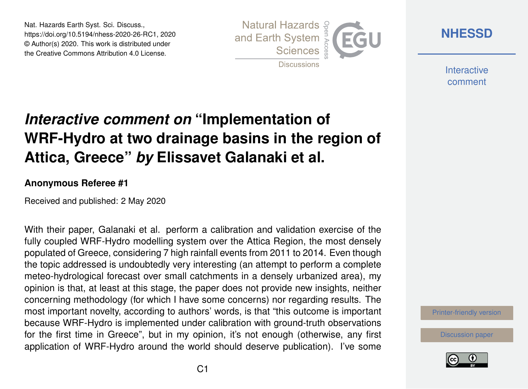Nat. Hazards Earth Syst. Sci. Discuss., https://doi.org/10.5194/nhess-2020-26-RC1, 2020 © Author(s) 2020. This work is distributed under the Creative Commons Attribution 4.0 License.



**[NHESSD](https://www.nat-hazards-earth-syst-sci-discuss.net/)**

**Interactive** comment

# *Interactive comment on* **"Implementation of WRF-Hydro at two drainage basins in the region of Attica, Greece"** *by* **Elissavet Galanaki et al.**

#### **Anonymous Referee #1**

Received and published: 2 May 2020

With their paper, Galanaki et al. perform a calibration and validation exercise of the fully coupled WRF-Hydro modelling system over the Attica Region, the most densely populated of Greece, considering 7 high rainfall events from 2011 to 2014. Even though the topic addressed is undoubtedly very interesting (an attempt to perform a complete meteo-hydrological forecast over small catchments in a densely urbanized area), my opinion is that, at least at this stage, the paper does not provide new insights, neither concerning methodology (for which I have some concerns) nor regarding results. The most important novelty, according to authors' words, is that "this outcome is important because WRF-Hydro is implemented under calibration with ground-truth observations for the first time in Greece", but in my opinion, it's not enough (otherwise, any first application of WRF-Hydro around the world should deserve publication). I've some

[Printer-friendly version](https://www.nat-hazards-earth-syst-sci-discuss.net/nhess-2020-26/nhess-2020-26-RC1-print.pdf)

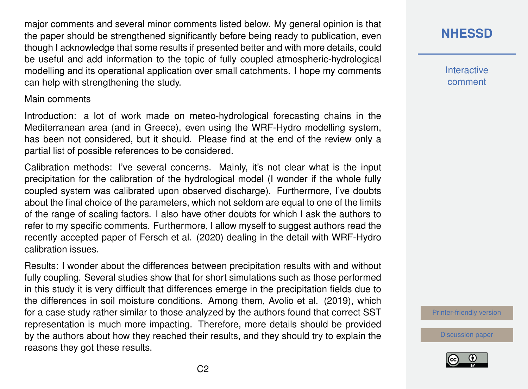major comments and several minor comments listed below. My general opinion is that the paper should be strengthened significantly before being ready to publication, even though I acknowledge that some results if presented better and with more details, could be useful and add information to the topic of fully coupled atmospheric-hydrological modelling and its operational application over small catchments. I hope my comments can help with strengthening the study.

#### Main comments

Introduction: a lot of work made on meteo-hydrological forecasting chains in the Mediterranean area (and in Greece), even using the WRF-Hydro modelling system, has been not considered, but it should. Please find at the end of the review only a partial list of possible references to be considered.

Calibration methods: I've several concerns. Mainly, it's not clear what is the input precipitation for the calibration of the hydrological model (I wonder if the whole fully coupled system was calibrated upon observed discharge). Furthermore, I've doubts about the final choice of the parameters, which not seldom are equal to one of the limits of the range of scaling factors. I also have other doubts for which I ask the authors to refer to my specific comments. Furthermore, I allow myself to suggest authors read the recently accepted paper of Fersch et al. (2020) dealing in the detail with WRF-Hydro calibration issues.

Results: I wonder about the differences between precipitation results with and without fully coupling. Several studies show that for short simulations such as those performed in this study it is very difficult that differences emerge in the precipitation fields due to the differences in soil moisture conditions. Among them, Avolio et al. (2019), which for a case study rather similar to those analyzed by the authors found that correct SST representation is much more impacting. Therefore, more details should be provided by the authors about how they reached their results, and they should try to explain the reasons they got these results.

# **[NHESSD](https://www.nat-hazards-earth-syst-sci-discuss.net/)**

**Interactive** comment

[Printer-friendly version](https://www.nat-hazards-earth-syst-sci-discuss.net/nhess-2020-26/nhess-2020-26-RC1-print.pdf)

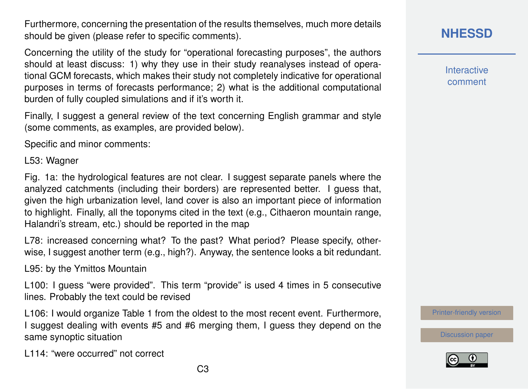Furthermore, concerning the presentation of the results themselves, much more details should be given (please refer to specific comments).

Concerning the utility of the study for "operational forecasting purposes", the authors should at least discuss: 1) why they use in their study reanalyses instead of operational GCM forecasts, which makes their study not completely indicative for operational purposes in terms of forecasts performance; 2) what is the additional computational burden of fully coupled simulations and if it's worth it.

Finally, I suggest a general review of the text concerning English grammar and style (some comments, as examples, are provided below).

Specific and minor comments:

L53: Wagner

Fig. 1a: the hydrological features are not clear. I suggest separate panels where the analyzed catchments (including their borders) are represented better. I guess that, given the high urbanization level, land cover is also an important piece of information to highlight. Finally, all the toponyms cited in the text (e.g., Cithaeron mountain range, Halandri's stream, etc.) should be reported in the map

L78: increased concerning what? To the past? What period? Please specify, otherwise, I suggest another term (e.g., high?). Anyway, the sentence looks a bit redundant.

L95: by the Ymittos Mountain

L100: I guess "were provided". This term "provide" is used 4 times in 5 consecutive lines. Probably the text could be revised

L106: I would organize Table 1 from the oldest to the most recent event. Furthermore, I suggest dealing with events #5 and #6 merging them, I guess they depend on the same synoptic situation

L114: "were occurred" not correct

### **[NHESSD](https://www.nat-hazards-earth-syst-sci-discuss.net/)**

**Interactive** comment

[Printer-friendly version](https://www.nat-hazards-earth-syst-sci-discuss.net/nhess-2020-26/nhess-2020-26-RC1-print.pdf)

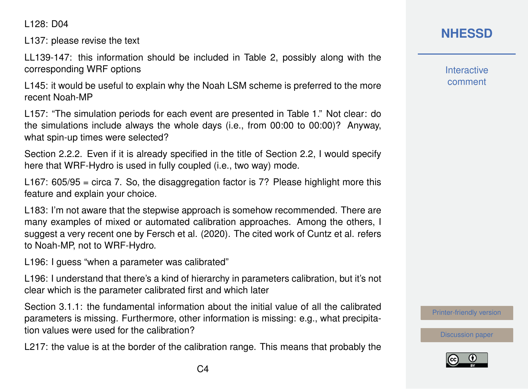L128: D04

L137: please revise the text

LL139-147: this information should be included in Table 2, possibly along with the corresponding WRF options

L145: it would be useful to explain why the Noah LSM scheme is preferred to the more recent Noah-MP

L157: "The simulation periods for each event are presented in Table 1." Not clear: do the simulations include always the whole days (i.e., from 00:00 to 00:00)? Anyway, what spin-up times were selected?

Section 2.2.2. Even if it is already specified in the title of Section 2.2, I would specify here that WRF-Hydro is used in fully coupled (i.e., two way) mode.

L167:  $605/95$  = circa 7. So, the disaggregation factor is 7? Please highlight more this feature and explain your choice.

L183: I'm not aware that the stepwise approach is somehow recommended. There are many examples of mixed or automated calibration approaches. Among the others, I suggest a very recent one by Fersch et al. (2020). The cited work of Cuntz et al. refers to Noah-MP, not to WRF-Hydro.

L196: I guess "when a parameter was calibrated"

L196: I understand that there's a kind of hierarchy in parameters calibration, but it's not clear which is the parameter calibrated first and which later

Section 3.1.1: the fundamental information about the initial value of all the calibrated parameters is missing. Furthermore, other information is missing: e.g., what precipitation values were used for the calibration?

L217: the value is at the border of the calibration range. This means that probably the

# **[NHESSD](https://www.nat-hazards-earth-syst-sci-discuss.net/)**

**Interactive** comment

[Printer-friendly version](https://www.nat-hazards-earth-syst-sci-discuss.net/nhess-2020-26/nhess-2020-26-RC1-print.pdf)

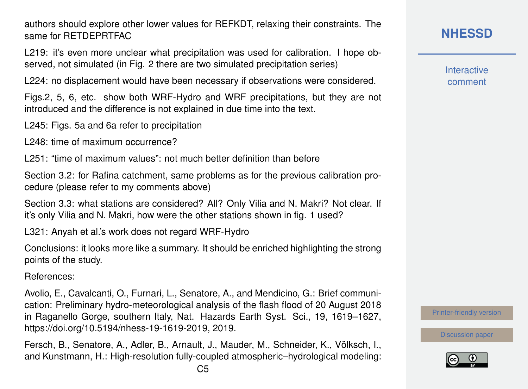authors should explore other lower values for REFKDT, relaxing their constraints. The same for RETDEPRTFAC

L219: it's even more unclear what precipitation was used for calibration. I hope observed, not simulated (in Fig. 2 there are two simulated precipitation series)

L224: no displacement would have been necessary if observations were considered.

Figs.2, 5, 6, etc. show both WRF-Hydro and WRF precipitations, but they are not introduced and the difference is not explained in due time into the text.

L245: Figs. 5a and 6a refer to precipitation

L248: time of maximum occurrence?

L251: "time of maximum values": not much better definition than before

Section 3.2: for Rafina catchment, same problems as for the previous calibration procedure (please refer to my comments above)

Section 3.3: what stations are considered? All? Only Vilia and N. Makri? Not clear. If it's only Vilia and N. Makri, how were the other stations shown in fig. 1 used?

L321: Anyah et al.'s work does not regard WRF-Hydro

Conclusions: it looks more like a summary. It should be enriched highlighting the strong points of the study.

References:

Avolio, E., Cavalcanti, O., Furnari, L., Senatore, A., and Mendicino, G.: Brief communication: Preliminary hydro-meteorological analysis of the flash flood of 20 August 2018 in Raganello Gorge, southern Italy, Nat. Hazards Earth Syst. Sci., 19, 1619–1627, https://doi.org/10.5194/nhess-19-1619-2019, 2019.

Fersch, B., Senatore, A., Adler, B., Arnault, J., Mauder, M., Schneider, K., Völksch, I., and Kunstmann, H.: High-resolution fully-coupled atmospheric–hydrological modeling: **[NHESSD](https://www.nat-hazards-earth-syst-sci-discuss.net/)**

**Interactive** comment

[Printer-friendly version](https://www.nat-hazards-earth-syst-sci-discuss.net/nhess-2020-26/nhess-2020-26-RC1-print.pdf)